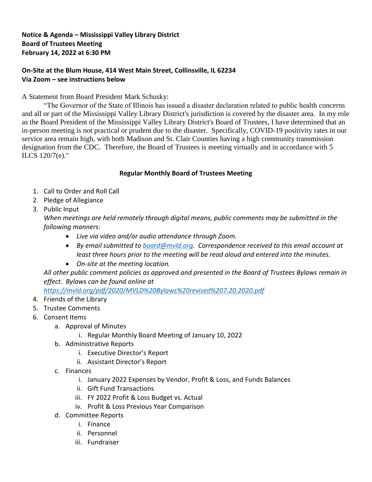### **Notice & Agenda – Mississippi Valley Library District Board of Trustees Meeting February 14, 2022 at 6:30 PM**

# **On-Site at the Blum House, 414 West Main Street, Collinsville, IL 62234 Via Zoom – see instructions below**

# A Statement from Board President Mark Schusky:

"The Governor of the State of Illinois has issued a disaster declaration related to public health concerns and all or part of the Mississippi Valley Library District's jurisdiction is covered by the disaster area. In my role as the Board President of the Mississippi Valley Library District's Board of Trustees, I have determined that an in-person meeting is not practical or prudent due to the disaster. Specifically, COVID-19 positivity rates in our service area remain high, with both Madison and St. Clair Counties having a high community transmission designation from the CDC. Therefore, the Board of Trustees is meeting virtually and in accordance with 5 ILCS 120/7(e)."

### **Regular Monthly Board of Trustees Meeting**

- 1. Call to Order and Roll Call
- 2. Pledge of Allegiance
- 3. Public Input

*When meetings are held remotely through digital means, public comments may be submitted in the following manners:*

- *Live via video and/or audio attendance through Zoom.*
- *By email submitted to [board@mvld.org.](file:///C:/Users/Director/Documents/Board%20of%20Trustees/Board%20Agendas/FY22/board@mvld.org) Correspondence received to this email account at least three hours prior to the meeting will be read aloud and entered into the minutes.*
- *On-site at the meeting location.*

*All other public comment policies as approved and presented in the Board of Trustees Bylaws remain in effect. Bylaws can be found online at* 

*<https://mvld.org/pdf/2020/MVLD%20Bylaws%20revised%207.20.2020.pdf>*

- 4. Friends of the Library
- 5. Trustee Comments
- 6. Consent Items
	- a. Approval of Minutes
		- i. Regular Monthly Board Meeting of January 10, 2022
	- b. Administrative Reports
		- i. Executive Director's Report
		- ii. Assistant Director's Report
	- c. Finances
		- i. January 2022 Expenses by Vendor, Profit & Loss, and Funds Balances
		- ii. Gift Fund Transactions
		- iii. FY 2022 Profit & Loss Budget vs. Actual
		- iv. Profit & Loss Previous Year Comparison
	- d. Committee Reports
		- i. Finance
		- ii. Personnel
		- iii. Fundraiser